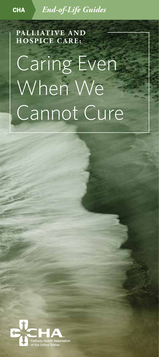CHA *End-of-Life Guides*

**PALLIATIVE AND HOSPICE CARE:**

# Caring Even When We Cannot Cure

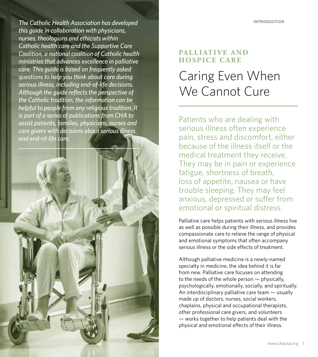INTRODUCTION

*The Catholic Health Association has developed this guide in collaboration with physicians, nurses, theologians and ethicists within Catholic health care and the Supportive Care Coalition, a national coalition of Catholic health ministries that advances excellence in palliative care. This guide is based on frequently asked questions to help you think about care during serious illness, including end-of-life decisions. Although the guide reflects the perspective of the Catholic tradition, the information can be helpful to people from any religious tradition. It is part of a series of publications from CHA to assist patients, families, physicians, nurses and care givers with decisions about serious illness and end-of-life care.*



# **PALLIATIVE AND HOSPICE CARE**

# Caring Even When We Cannot Cure

Patients who are dealing with serious illness often experience pain, stress and discomfort, either because of the illness itself or the medical treatment they receive. They may be in pain or experience fatigue, shortness of breath, loss of appetite, nausea or have trouble sleeping. They may feel anxious, depressed or suffer from emotional or spiritual distress.

Palliative care helps patients with serious illness live as well as possible during their illness, and provides compassionate care to relieve the range of physical and emotional symptoms that often accompany serious illness or the side effects of treatment.

Although palliative medicine is a newly-named specialty in medicine, the idea behind it is far from new. Palliative care focuses on attending to the needs of the whole person — physically, psychologically, emotionally, socially, and spiritually. An interdisciplinary palliative care team — usually made up of doctors, nurses, social workers, chaplains, physical and occupational therapists, other professional care givers, and volunteers — works together to help patients deal with the physical and emotional effects of their illness.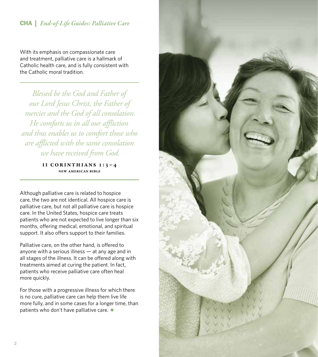# CHA | *End-of-Life Guides: Palliative Care*

With its emphasis on compassionate care and treatment, palliative care is a hallmark of Catholic health care, and is fully consistent with the Catholic moral tradition.

*Blessed be the God and Father of our Lord Jesus Christ, the Father of mercies and the God of all consolation. He comforts us in all our affliction and thus enables us to comfort those who are afflicted with the same consolation we have received from God.*

### II Corinthians 1:3–4 New American Bible

Although palliative care is related to hospice care, the two are not identical. All hospice care is palliative care, but not all palliative care is hospice care. In the United States, hospice care treats patients who are not expected to live longer than six months, offering medical, emotional, and spiritual support. It also offers support to their families.

Palliative care, on the other hand, is offered to anyone with a serious illness — at any age and in all stages of the illness. It can be offered along with treatments aimed at curing the patient. In fact, patients who receive palliative care often heal more quickly.

For those with a progressive illness for which there is no cure, palliative care can help them live life more fully, and in some cases for a longer time, than patients who don't have palliative care. *◆*

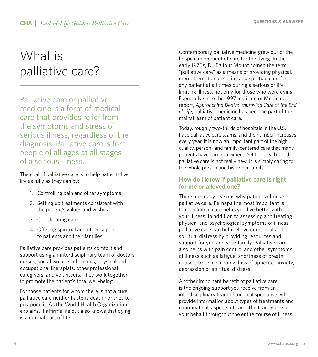# What is palliative care?

Palliative care or palliative medicine is a form of medical care that provides relief from the symptoms and stress of serious illness, regardless of the diagnosis. Palliative care is for people of all ages at all stages of a serious illness.

The goal of palliative care is to help patients live life as fully as they can by:

- 1. Controlling pain and other symptoms
- 2. Setting up treatments consistent with the patient's values and wishes
- 3. Coordinating care
- 4. Offering spiritual and other support to patients and their families.

Palliative care provides patients comfort and support using an interdisciplinary team of doctors, nurses, social workers, chaplains, physical and occupational therapists, other professional caregivers, and volunteers. They work together to promote the patient's total well-being.

For those patients for whom there is not a cure, palliative care neither hastens death nor tries to postpone it. As the World Health Organization explains, it affirms life but also knows that dying is a normal part of life.

Contemporary palliative medicine grew out of the hospice movement of care for the dying. In the early 1970s, Dr. Balfour Mount coined the term "palliative care" as a means of providing physical, mental, emotional, social, and spiritual care for any patient at all times during a serious or lifelimiting illness, not only for those who were dying. Especially since the 1997 Institute of Medicine report, *Approaching Death: Improving Care at the End of Life*, palliative medicine has become part of the mainstream of patient care.

Today, roughly two-thirds of hospitals in the U.S. have palliative care teams, and the number increases every year. It is now an important part of the high quality, person- and family-centered care that many patients have come to expect. Yet the idea behind palliative care is not really new. It is simply caring for the whole person and his or her family.

# **How do I know if palliative care is right for me or a loved one?**

There are many reasons why patients choose palliative care. Perhaps the most important is that palliative care helps you live better with your illness. In addition to assessing and treating physical and psychological symptoms of illness, palliative care can help relieve emotional and spiritual distress by providing resources and support for you and your family. Palliative care also helps with pain control and other symptoms of illness such as fatigue, shortness of breath, nausea, trouble sleeping, loss of appetite, anxiety, depression or spiritual distress.

Another important benefit of palliative care is the ongoing support you receive from an interdisciplinary team of medical specialists who provide information about types of treatments and coordinate all aspects of care. The team works on your behalf throughout the entire course of illness.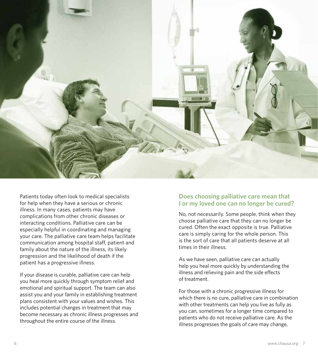

Patients today often look to medical specialists for help when they have a serious or chronic illness. In many cases, patients may have complications from other chronic diseases or interacting conditions. Palliative care can be especially helpful in coordinating and managing your care. The palliative care team helps facilitate communication among hospital staff, patient and family about the nature of the illness, its likely progression and the likelihood of death if the patient has a progressive illness.

If your disease is curable, palliative care can help you heal more quickly through symptom relief and emotional and spiritual support. The team can also assist you and your family in establishing treatment plans consistent with your values and wishes. This includes potential changes in treatment that may become necessary as chronic illness progresses and throughout the entire course of the illness.

### **Does choosing palliative care mean that I or my loved one can no longer be cured?**

No, not necessarily. Some people, think when they choose palliative care that they can no longer be cured. Often the exact opposite is true. Palliative care is simply caring for the whole person. This is the sort of care that all patients deserve at all times in their illness.

As we have seen, palliative care can actually help you heal more quickly by understanding the illness and relieving pain and the side effects of treatment.

For those with a chronic progressive illness for which there is no cure, palliative care in combination with other treatments can help you live as fully as you can, sometimes for a longer time compared to patients who do not receive palliative care. As the illness progresses the goals of care may change,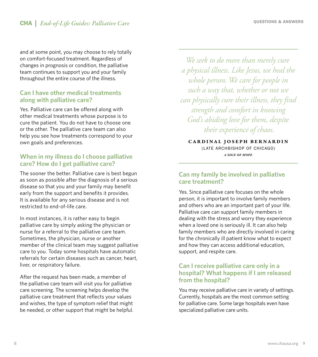and at some point, you may choose to rely totally on comfort-focused treatment. Regardless of changes in prognosis or condition, the palliative team continues to support you and your family throughout the entire course of the illness.

### **Can I have other medical treatments along with palliative care?**

Yes. Palliative care can be offered along with other medical treatments whose purpose is to cure the patient. You do not have to choose one or the other. The palliative care team can also help you see how treatments correspond to your own goals and preferences.

# **When in my illness do I choose palliative care? How do I get palliative care?**

The sooner the better. Palliative care is best begun as soon as possible after the diagnosis of a serious disease so that you and your family may benefit early from the support and benefits it provides. It is available for any serious disease and is not restricted to end-of-life care.

In most instances, it is rather easy to begin palliative care by simply asking the physician or nurse for a referral to the palliative care team. Sometimes, the physician, nurse or another member of the clinical team may suggest palliative care to you. Today some hospitals have automatic referrals for certain diseases such as cancer, heart, liver, or respiratory failure.

After the request has been made, a member of the palliative care team will visit you for palliative care screening. The screening helps develop the palliative care treatment that reflects your values and wishes, the type of symptom relief that might be needed, or other support that might be helpful.

*We seek to do more than merely cure a physical illness. Like Jesus, we heal the whole person. We care for people in such a way that, whether or not we can physically cure their illness, they find strength and comfort in knowing God's abiding love for them, despite their experience of chaos.*

Cardinal Joseph Bernardin (LATE ARCHBISHOP OF CHICAGO) *A sign of Hope*

# **Can my family be involved in palliative care treatment?**

Yes. Since palliative care focuses on the whole person, it is important to involve family members and others who are an important part of your life. Palliative care can support family members in dealing with the stress and worry they experience when a loved one is seriously ill. It can also help family members who are directly involved in caring for the chronically ill patient know what to expect and how they can access additional education, support, and respite care.

# **Can I receive palliative care only in a hospital? What happens if I am released from the hospital?**

You may receive palliative care in variety of settings. Currently, hospitals are the most common setting for palliative care. Some large hospitals even have specialized palliative care units.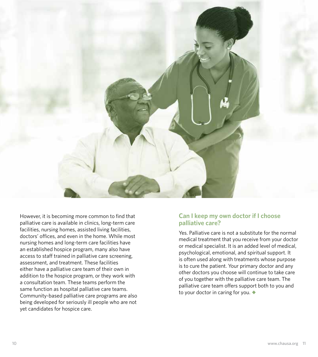

However, it is becoming more common to find that palliative care is available in clinics, long-term care facilities, nursing homes, assisted living facilities, doctors' offices, and even in the home. While most nursing homes and long-term care facilities have an established hospice program, many also have access to staff trained in palliative care screening, assessment, and treatment. These facilities either have a palliative care team of their own in addition to the hospice program, or they work with a consultation team. These teams perform the same function as hospital palliative care teams. Community-based palliative care programs are also being developed for seriously ill people who are not yet candidates for hospice care.

# **Can I keep my own doctor if I choose palliative care?**

Yes. Palliative care is not a substitute for the normal medical treatment that you receive from your doctor or medical specialist. It is an added level of medical, psychological, emotional, and spiritual support. It is often used along with treatments whose purpose is to cure the patient. Your primary doctor and any other doctors you choose will continue to take care of you together with the palliative care team. The palliative care team offers support both to you and to your doctor in caring for you. *◆*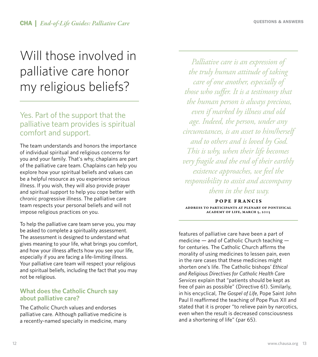# Will those involved in palliative care honor my religious beliefs?

# Yes. Part of the support that the palliative team provides is spiritual comfort and support.

The team understands and honors the importance of individual spiritual and religious concerns for you and your family. That's why, chaplains are part of the palliative care team. Chaplains can help you explore how your spiritual beliefs and values can be a helpful resource as you experience serious illness. If you wish, they will also provide prayer and spiritual support to help you cope better with chronic progressive illness. The palliative care team respects your personal beliefs and will not impose religious practices on you.

To help the palliative care team serve you, you may be asked to complete a spirituality assessment. The assessment is designed to understand what gives meaning to your life, what brings you comfort, and how your illness affects how you see your life, especially if you are facing a life-limiting illness. Your palliative care team will respect your religious and spiritual beliefs, including the fact that you may not be religious.

# **What does the Catholic Church say about palliative care?**

The Catholic Church values and endorses palliative care. Although palliative medicine is a recently-named specialty in medicine, many

*Palliative care is an expression of the truly human attitude of taking care of one another, especially of those who suffer. It is a testimony that the human person is always precious, even if marked by illness and old age. Indeed, the person, under any circumstances, is an asset to him/herself and to others and is loved by God. This is why, when their life becomes very fragile and the end of their earthly existence approaches, we feel the responsibility to assist and accompany them in the best way.*

Pope Francis Address to participants at Plenary of Pontifical Academy of Life, March 5, 2015

features of palliative care have been a part of medicine — and of Catholic Church teaching for centuries. The Catholic Church affirms the morality of using medicines to lessen pain, even in the rare cases that these medicines might shorten one's life. The Catholic bishops' *Ethical and Religious Directives for Catholic Health Care Services* explain that "patients should be kept as free of pain as possible" (Directive 61). Similarly, in his encyclical, *The Gospel of Life*, Pope Saint John Paul II reaffirmed the teaching of Pope Pius XII and stated that it is proper "to relieve pain by narcotics, even when the result is decreased consciousness and a shortening of life" (par 65).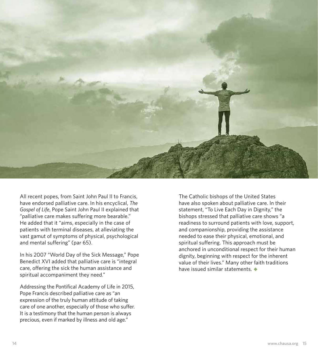

All recent popes, from Saint John Paul II to Francis, have endorsed palliative care. In his encyclical, *The Gospel of Life*, Pope Saint John Paul II explained that "palliative care makes suffering more bearable." He added that it "aims, especially in the case of patients with terminal diseases, at alleviating the vast gamut of symptoms of physical, psychological and mental suffering" (par 65).

In his 2007 "World Day of the Sick Message," Pope Benedict XVI added that palliative care is "integral care, offering the sick the human assistance and spiritual accompaniment they need."

Addressing the Pontifical Academy of Life in 2015, Pope Francis described palliative care as "an expression of the truly human attitude of taking care of one another, especially of those who suffer. It is a testimony that the human person is always precious, even if marked by illness and old age."

The Catholic bishops of the United States have also spoken about palliative care. In their statement, "To Live Each Day in Dignity," the bishops stressed that palliative care shows "a readiness to surround patients with love, support, and companionship, providing the assistance needed to ease their physical, emotional, and spiritual suffering. This approach must be anchored in unconditional respect for their human dignity, beginning with respect for the inherent value of their lives." Many other faith traditions have issued similar statements. *◆*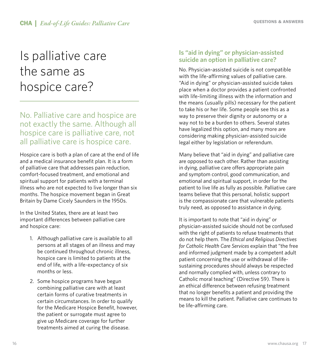# Is palliative care the same as hospice care?

# No. Palliative care and hospice are not exactly the same. Although all hospice care is palliative care, not all palliative care is hospice care.

Hospice care is both a plan of care at the end of life and a medical insurance benefit plan. It is a form of palliative care that addresses pain reduction, comfort-focused treatment, and emotional and spiritual support for patients with a terminal illness who are not expected to live longer than six months. The hospice movement began in Great Britain by Dame Cicely Saunders in the 1950s.

In the United States, there are at least two important differences between palliative care and hospice care:

- 1. Although palliative care is available to all persons at all stages of an illness and may be continued throughout chronic illness, hospice care is limited to patients at the end of life, with a life-expectancy of six months or less.
- 2. Some hospice programs have begun combining palliative care with at least certain forms of curative treatments in certain circumstances. In order to qualify for the Medicare Hospice Benefit, however, the patient or surrogate must agree to give up Medicare coverage for further treatments aimed at curing the disease.

# **Is "aid in dying" or physician-assisted suicide an option in palliative care?**

No. Physician-assisted suicide is not compatible with the life-affirming values of palliative care. "Aid in dying" or physician-assisted suicide takes place when a doctor provides a patient confronted with life-limiting illness with the information and the means (usually pills) necessary for the patient to take his or her life. Some people see this as a way to preserve their dignity or autonomy or a way not to be a burden to others. Several states have legalized this option, and many more are considering making physician-assisted suicide legal either by legislation or referendum.

Many believe that "aid in dying" and palliative care are opposed to each other. Rather than assisting in dying, palliative care offers appropriate pain and symptom control, good communication, and emotional and spiritual support, in order for the patient to live life as fully as possible. Palliative care teams believe that this personal, holistic support is the compassionate care that vulnerable patients truly need, as opposed to assistance in dying.

It is important to note that "aid in dying" or physician-assisted suicide should not be confused with the right of patients to refuse treatments that do not help them. The *Ethical and Religious Directives for Catholic Health Care Services* explain that "the free and informed judgment made by a competent adult patient concerning the use or withdrawal of lifesustaining procedures should always be respected and normally complied with, unless contrary to Catholic moral teaching" (Directive 59). There is an ethical difference between refusing treatment that no longer benefits a patient and providing the means to kill the patient. Palliative care continues to be life-affirming care.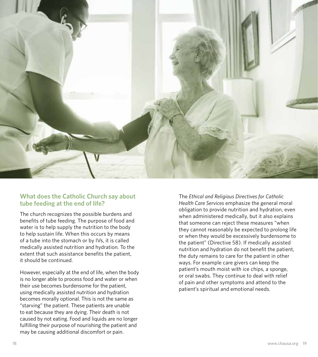

# **What does the Catholic Church say about tube feeding at the end of life?**

The church recognizes the possible burdens and benefits of tube feeding. The purpose of food and water is to help supply the nutrition to the body to help sustain life. When this occurs by means of a tube into the stomach or by IVs, it is called medically assisted nutrition and hydration. To the extent that such assistance benefits the patient, it should be continued.

However, especially at the end of life, when the body is no longer able to process food and water or when their use becomes burdensome for the patient, using medically assisted nutrition and hydration becomes morally optional. This is not the same as "starving" the patient. These patients are unable to eat because they are dying. Their death is not caused by not eating. Food and liquids are no longer fulfilling their purpose of nourishing the patient and may be causing additional discomfort or pain.

The *Ethical and Religious Directives for Catholic Health Care Services* emphasize the general moral obligation to provide nutrition and hydration, even when administered medically, but it also explains that someone can reject these measures "when they cannot reasonably be expected to prolong life or when they would be excessively burdensome to the patient" (Directive 58). If medically assisted nutrition and hydration do not benefit the patient, the duty remains to care for the patient in other ways. For example care givers can keep the patient's mouth moist with ice chips, a sponge, or oral swabs. They continue to deal with relief of pain and other symptoms and attend to the patient's spiritual and emotional needs.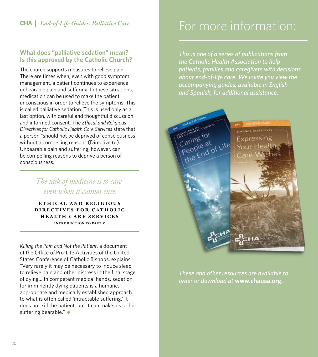# CHA | *End-of-Life Guides: Palliative Care*

### **What does "palliative sedation" mean? Is this approved by the Catholic Church?**

The church supports measures to relieve pain. There are times when, even with good symptom management, a patient continues to experience unbearable pain and suffering. In these situations, medication can be used to make the patient unconscious in order to relieve the symptoms. This is called palliative sedation. This is used only as a last option, with careful and thoughtful discussion and informed consent. The *Ethical and Religious Directives for Catholic Health Care Services* state that a person "should not be deprived of consciousness without a compelling reason" (Directive 61). Unbearable pain and suffering, however, can be compelling reasons to deprive a person of consciousness.

> *The task of medicine is to care even when it cannot cure.*

Ethical and Religious DIRECTIVES FOR CATHOLIC Health Care Services Introduction to Part V

*Killing the Pain and Not the Patient*, a document of the Office of Pro-Life Activities of the United States Conference of Catholic Bishops, explains: "Very rarely it may be necessary to induce sleep to relieve pain and other distress in the final stage of dying… In competent medical hands, sedation for imminently dying patients is a humane, appropriate and medically established approach to what is often called 'intractable suffering.' It does not kill the patient, but it can make his or her suffering bearable." *◆*

# For more information:

*This is one of a series of publications from the Catholic Health Association to help patients, families and caregivers with decisions about end-of-life care. We invite you view the accompanying guides, available in English and Spanish, for additional assistance.* 



*These and other resources are available to order or download at* **www.chausa.org.**